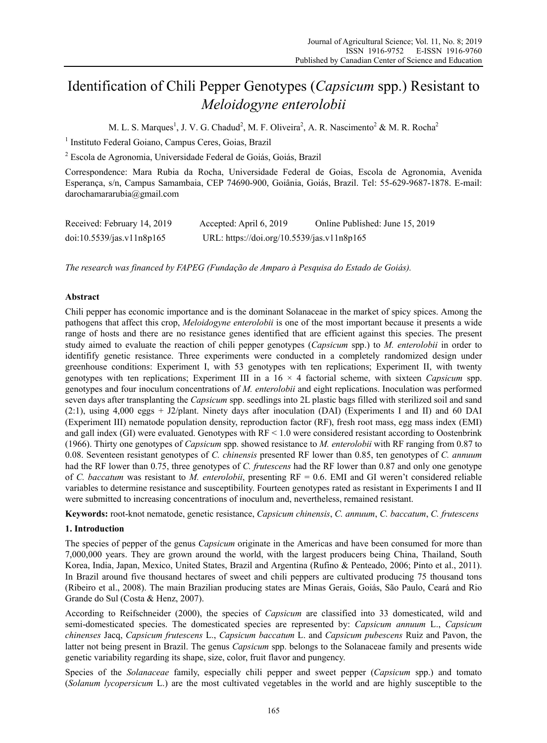# Identification of Chili Pepper Genotypes (*Capsicum* spp.) Resistant to *Meloidogyne enterolobii*

M. L. S. Marques<sup>1</sup>, J. V. G. Chadud<sup>2</sup>, M. F. Oliveira<sup>2</sup>, A. R. Nascimento<sup>2</sup> & M. R. Rocha<sup>2</sup>

<sup>1</sup> Instituto Federal Goiano, Campus Ceres, Goias, Brazil

2 Escola de Agronomia, Universidade Federal de Goiás, Goiás, Brazil

Correspondence: Mara Rubia da Rocha, Universidade Federal de Goias, Escola de Agronomia, Avenida Esperança, s/n, Campus Samambaia, CEP 74690-900, Goiânia, Goiás, Brazil. Tel: 55-629-9687-1878. E-mail: darochamararubia@gmail.com

| Received: February 14, 2019 | Accepted: April 6, 2019                    | Online Published: June 15, 2019 |
|-----------------------------|--------------------------------------------|---------------------------------|
| doi:10.5539/jas.v11n8p165   | URL: https://doi.org/10.5539/jas.v11n8p165 |                                 |

*The research was financed by FAPEG (Fundação de Amparo à Pesquisa do Estado de Goiás).* 

# **Abstract**

Chili pepper has economic importance and is the dominant Solanaceae in the market of spicy spices. Among the pathogens that affect this crop, *Meloidogyne enterolobii* is one of the most important because it presents a wide range of hosts and there are no resistance genes identified that are efficient against this species. The present study aimed to evaluate the reaction of chili pepper genotypes (*Capsicum* spp.) to *M. enterolobii* in order to identifify genetic resistance. Three experiments were conducted in a completely randomized design under greenhouse conditions: Experiment I, with 53 genotypes with ten replications; Experiment II, with twenty genotypes with ten replications; Experiment III in a 16 × 4 factorial scheme, with sixteen *Capsicum* spp. genotypes and four inoculum concentrations of *M. enterolobii* and eight replications. Inoculation was performed seven days after transplanting the *Capsicum* spp. seedlings into 2L plastic bags filled with sterilized soil and sand (2:1), using 4,000 eggs + J2/plant. Ninety days after inoculation (DAI) (Experiments I and II) and 60 DAI (Experiment III) nematode population density, reproduction factor (RF), fresh root mass, egg mass index (EMI) and gall index (GI) were evaluated. Genotypes with  $RF < 1.0$  were considered resistant according to Oostenbrink (1966). Thirty one genotypes of *Capsicum* spp. showed resistance to *M. enterolobii* with RF ranging from 0.87 to 0.08. Seventeen resistant genotypes of *C. chinensis* presented RF lower than 0.85, ten genotypes of *C. annuum* had the RF lower than 0.75, three genotypes of *C. frutescens* had the RF lower than 0.87 and only one genotype of *C. baccatum* was resistant to *M. enterolobii*, presenting RF = 0.6. EMI and GI weren't considered reliable variables to determine resistance and susceptibility. Fourteen genotypes rated as resistant in Experiments I and II were submitted to increasing concentrations of inoculum and, nevertheless, remained resistant.

**Keywords:** root-knot nematode, genetic resistance, *Capsicum chinensis*, *C. annuum*, *C. baccatum*, *C. frutescens* 

# **1. Introduction**

The species of pepper of the genus *Capsicum* originate in the Americas and have been consumed for more than 7,000,000 years. They are grown around the world, with the largest producers being China, Thailand, South Korea, India, Japan, Mexico, United States, Brazil and Argentina (Rufino & Penteado, 2006; Pinto et al., 2011). In Brazil around five thousand hectares of sweet and chili peppers are cultivated producing 75 thousand tons (Ribeiro et al., 2008). The main Brazilian producing states are Minas Gerais, Goiás, São Paulo, Ceará and Rio Grande do Sul (Costa & Henz, 2007).

According to Reifschneider (2000), the species of *Capsicum* are classified into 33 domesticated, wild and semi-domesticated species. The domesticated species are represented by: *Capsicum annuum* L., *Capsicum chinenses* Jacq, *Capsicum frutescens* L., *Capsicum baccatum* L. and *Capsicum pubescens* Ruiz and Pavon, the latter not being present in Brazil. The genus *Capsicum* spp. belongs to the Solanaceae family and presents wide genetic variability regarding its shape, size, color, fruit flavor and pungency.

Species of the *Solanaceae* family, especially chili pepper and sweet pepper (*Capsicum* spp.) and tomato (*Solanum lycopersicum* L.) are the most cultivated vegetables in the world and are highly susceptible to the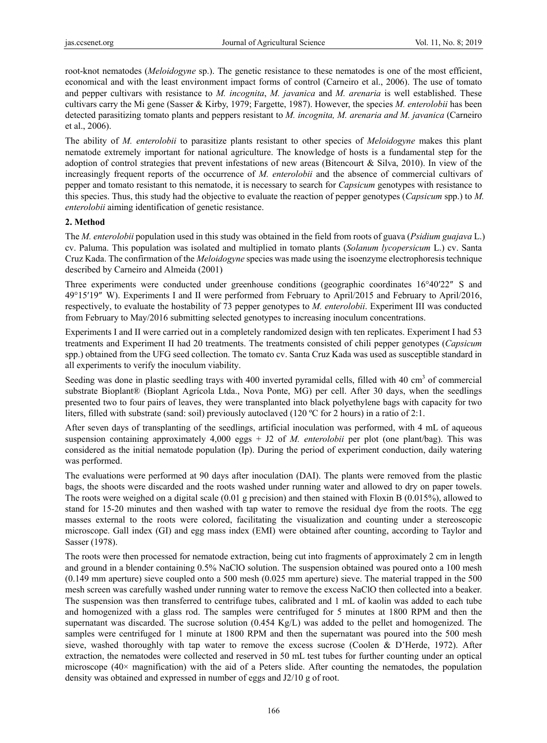root-knot nematodes (*Meloidogyne* sp.). The genetic resistance to these nematodes is one of the most efficient, economical and with the least environment impact forms of control (Carneiro et al., 2006). The use of tomato and pepper cultivars with resistance to *M. incognita*, *M. javanica* and *M. arenaria* is well established. These cultivars carry the Mi gene (Sasser & Kirby, 1979; Fargette, 1987). However, the species *M. enterolobii* has been detected parasitizing tomato plants and peppers resistant to *M. incognita, M. arenaria and M. javanica* (Carneiro et al., 2006).

The ability of *M. enterolobii* to parasitize plants resistant to other species of *Meloidogyne* makes this plant nematode extremely important for national agriculture. The knowledge of hosts is a fundamental step for the adoption of control strategies that prevent infestations of new areas (Bitencourt & Silva, 2010). In view of the increasingly frequent reports of the occurrence of *M. enterolobii* and the absence of commercial cultivars of pepper and tomato resistant to this nematode, it is necessary to search for *Capsicum* genotypes with resistance to this species. Thus, this study had the objective to evaluate the reaction of pepper genotypes (*Capsicum* spp.) to *M. enterolobii* aiming identification of genetic resistance.

# **2. Method**

The *M. enterolobii* population used in this study was obtained in the field from roots of guava (*Psidium guajava* L.) cv. Paluma. This population was isolated and multiplied in tomato plants (*Solanum lycopersicum* L.) cv. Santa Cruz Kada. The confirmation of the *Meloidogyne* species was made using the isoenzyme electrophoresis technique described by Carneiro and Almeida (2001)

Three experiments were conducted under greenhouse conditions (geographic coordinates 16°40′22″ S and 49°15′19″ W). Experiments I and II were performed from February to April/2015 and February to April/2016, respectively, to evaluate the hostability of 73 pepper genotypes to *M. enterolobii*. Experiment III was conducted from February to May/2016 submitting selected genotypes to increasing inoculum concentrations.

Experiments I and II were carried out in a completely randomized design with ten replicates. Experiment I had 53 treatments and Experiment II had 20 treatments. The treatments consisted of chili pepper genotypes (*Capsicum*  spp.) obtained from the UFG seed collection. The tomato cv. Santa Cruz Kada was used as susceptible standard in all experiments to verify the inoculum viability.

Seeding was done in plastic seedling trays with 400 inverted pyramidal cells, filled with 40 cm<sup>3</sup> of commercial substrate Bioplant® (Bioplant Agrícola Ltda., Nova Ponte, MG) per cell. After 30 days, when the seedlings presented two to four pairs of leaves, they were transplanted into black polyethylene bags with capacity for two liters, filled with substrate (sand: soil) previously autoclaved (120 ºC for 2 hours) in a ratio of 2:1.

After seven days of transplanting of the seedlings, artificial inoculation was performed, with 4 mL of aqueous suspension containing approximately 4,000 eggs + J2 of *M. enterolobii* per plot (one plant/bag). This was considered as the initial nematode population (Ip). During the period of experiment conduction, daily watering was performed.

The evaluations were performed at 90 days after inoculation (DAI). The plants were removed from the plastic bags, the shoots were discarded and the roots washed under running water and allowed to dry on paper towels. The roots were weighed on a digital scale (0.01 g precision) and then stained with Floxin B (0.015%), allowed to stand for 15-20 minutes and then washed with tap water to remove the residual dye from the roots. The egg masses external to the roots were colored, facilitating the visualization and counting under a stereoscopic microscope. Gall index (GI) and egg mass index (EMI) were obtained after counting, according to Taylor and Sasser (1978).

The roots were then processed for nematode extraction, being cut into fragments of approximately 2 cm in length and ground in a blender containing 0.5% NaClO solution. The suspension obtained was poured onto a 100 mesh (0.149 mm aperture) sieve coupled onto a 500 mesh (0.025 mm aperture) sieve. The material trapped in the 500 mesh screen was carefully washed under running water to remove the excess NaClO then collected into a beaker. The suspension was then transferred to centrifuge tubes, calibrated and 1 mL of kaolin was added to each tube and homogenized with a glass rod. The samples were centrifuged for 5 minutes at 1800 RPM and then the supernatant was discarded. The sucrose solution (0.454 Kg/L) was added to the pellet and homogenized. The samples were centrifuged for 1 minute at 1800 RPM and then the supernatant was poured into the 500 mesh sieve, washed thoroughly with tap water to remove the excess sucrose (Coolen & D'Herde, 1972). After extraction, the nematodes were collected and reserved in 50 mL test tubes for further counting under an optical microscope (40× magnification) with the aid of a Peters slide. After counting the nematodes, the population density was obtained and expressed in number of eggs and J2/10 g of root.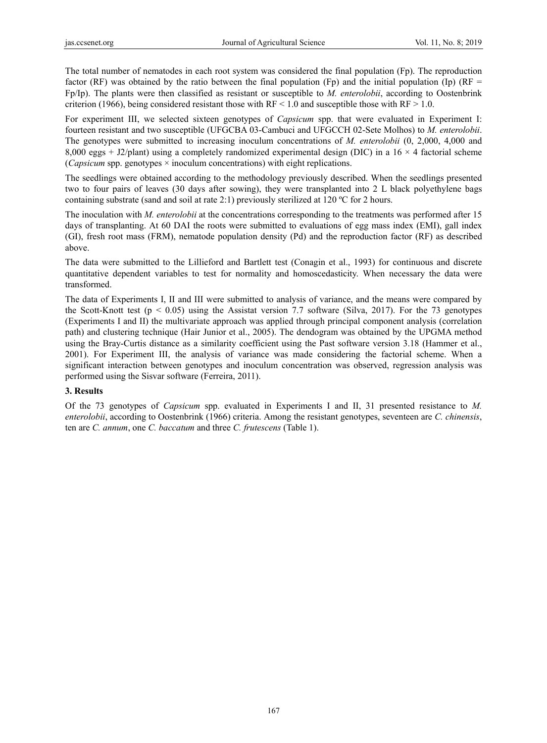The total number of nematodes in each root system was considered the final population (Fp). The reproduction factor (RF) was obtained by the ratio between the final population (Fp) and the initial population (Ip) (RF  $=$ Fp/Ip). The plants were then classified as resistant or susceptible to *M. enterolobii*, according to Oostenbrink criterion (1966), being considered resistant those with  $RF < 1.0$  and susceptible those with  $RF > 1.0$ .

For experiment III, we selected sixteen genotypes of *Capsicum* spp. that were evaluated in Experiment I: fourteen resistant and two susceptible (UFGCBA 03-Cambuci and UFGCCH 02-Sete Molhos) to *M. enterolobii*. The genotypes were submitted to increasing inoculum concentrations of *M. enterolobii* (0, 2,000, 4,000 and 8,000 eggs + J2/plant) using a completely randomized experimental design (DIC) in a  $16 \times 4$  factorial scheme (*Capsicum* spp. genotypes × inoculum concentrations) with eight replications.

The seedlings were obtained according to the methodology previously described. When the seedlings presented two to four pairs of leaves (30 days after sowing), they were transplanted into 2 L black polyethylene bags containing substrate (sand and soil at rate 2:1) previously sterilized at 120 ºC for 2 hours.

The inoculation with *M. enterolobii* at the concentrations corresponding to the treatments was performed after 15 days of transplanting. At 60 DAI the roots were submitted to evaluations of egg mass index (EMI), gall index (GI), fresh root mass (FRM), nematode population density (Pd) and the reproduction factor (RF) as described above.

The data were submitted to the Lillieford and Bartlett test (Conagin et al., 1993) for continuous and discrete quantitative dependent variables to test for normality and homoscedasticity. When necessary the data were transformed.

The data of Experiments I, II and III were submitted to analysis of variance, and the means were compared by the Scott-Knott test ( $p < 0.05$ ) using the Assistat version 7.7 software (Silva, 2017). For the 73 genotypes (Experiments I and II) the multivariate approach was applied through principal component analysis (correlation path) and clustering technique (Hair Junior et al., 2005). The dendogram was obtained by the UPGMA method using the Bray-Curtis distance as a similarity coefficient using the Past software version 3.18 (Hammer et al., 2001). For Experiment III, the analysis of variance was made considering the factorial scheme. When a significant interaction between genotypes and inoculum concentration was observed, regression analysis was performed using the Sisvar software (Ferreira, 2011).

# **3. Results**

Of the 73 genotypes of *Capsicum* spp. evaluated in Experiments I and II, 31 presented resistance to *M. enterolobii*, according to Oostenbrink (1966) criteria. Among the resistant genotypes, seventeen are *C. chinensis*, ten are *C. annum*, one *C. baccatum* and three *C. frutescens* (Table 1).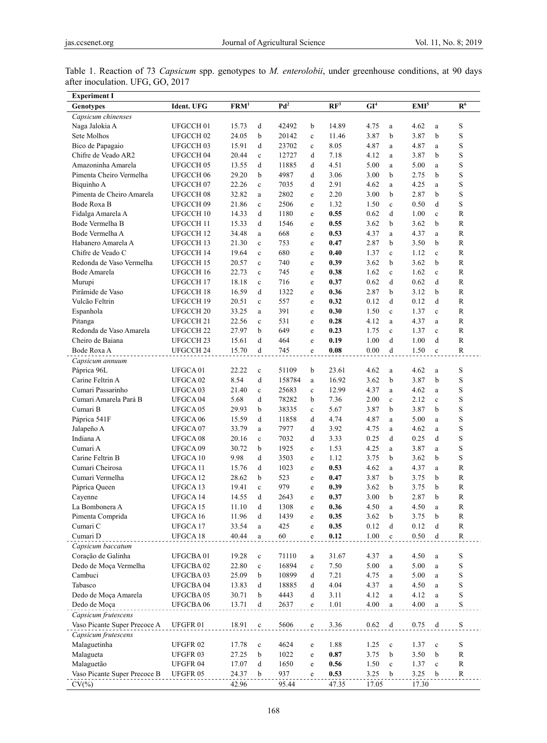| <b>Experiment I</b>          |                      |                           |              |        |                                                |                 |                          |              |                  |              |                |
|------------------------------|----------------------|---------------------------|--------------|--------|------------------------------------------------|-----------------|--------------------------|--------------|------------------|--------------|----------------|
| <b>Genotypes</b>             | Ident. UFG           | $\overline{\text{FRM}^1}$ |              | $Pd^2$ |                                                | $\mathbb{RF}^3$ | $\overline{\text{GI}^4}$ |              | EMI <sup>5</sup> |              | R <sup>6</sup> |
| Capsicum chinenses           |                      |                           |              |        |                                                |                 |                          |              |                  |              |                |
| Naga Jalokia A               | UFGCCH <sub>01</sub> | 15.73                     | d            | 42492  | b                                              | 14.89           | 4.75                     | a            | 4.62             | $\mathbf{a}$ | S              |
| Sete Molhos                  | UFGCCH <sub>02</sub> | 24.05                     | b            | 20142  | $\mathbf c$                                    | 11.46           | 3.87                     | b            | 3.87             | b            | S              |
| Bico de Papagaio             | UFGCCH 03            | 15.91                     | d            | 23702  | $\mathbf c$                                    | 8.05            | 4.87                     | a            | 4.87             | a            | S              |
| Chifre de Veado AR2          | UFGCCH 04            | 20.44                     | $\mathbf c$  | 12727  | d                                              | 7.18            | 4.12                     | a            | 3.87             | b            | S              |
| Amazoninha Amarela           | UFGCCH 05            | 13.55                     | d            | 11885  | d                                              | 4.51            | 5.00                     | a            | 5.00             | $\mathbf{a}$ | S              |
| Pimenta Cheiro Vermelha      | UFGCCH 06            | 29.20                     | b            | 4987   | d                                              | 3.06            | 3.00                     | b            | 2.75             | b            | S              |
| Biquinho A                   | UFGCCH07             | 22.26                     | $\mathbf{c}$ | 7035   | d                                              | 2.91            | 4.62                     | a            | 4.25             | a            | S              |
| Pimenta de Cheiro Amarela    | UFGCCH 08            | 32.82                     | $\mathbf{a}$ | 2802   | $\mathbf e$                                    | 2.20            | 3.00                     | b            | 2.87             | b            | S              |
| Bode Roxa B                  | UFGCCH 09            | 21.86                     | $\mathbf c$  | 2506   | e                                              | 1.32            | 1.50                     | $\mathbf c$  | 0.50             | d            | S              |
| Fidalga Amarela A            | UFGCCH 10            | 14.33                     | d            | 1180   | $\mathbf e$                                    | 0.55            | 0.62                     | d            | 1.00             | $\mathbf c$  | R              |
| Bode Vermelha B              | UFGCCH 11            | 15.33                     | d            | 1546   | $\mathbf e$                                    | 0.55            | 3.62                     | b            | 3.62             | b            | $\mathbb{R}$   |
| Bode Vermelha A              | UFGCCH 12            | 34.48                     | a            | 668    | e                                              | 0.53            | 4.37                     | a            | 4.37             | a            | R              |
| Habanero Amarela A           | UFGCCH 13            | 21.30                     | $\mathbf c$  | 753    | e                                              | 0.47            | 2.87                     | b            | 3.50             | b            | R              |
| Chifre de Veado C            | UFGCCH 14            | 19.64                     | $\mathbf c$  | 680    | e                                              | 0.40            | 1.37                     | $\mathbf c$  | 1.12             | $\mathbf c$  | R              |
| Redonda de Vaso Vermelha     | UFGCCH 15            | 20.57                     | $\mathbf c$  | 740    | e                                              | 0.39            | 3.62                     | b            | 3.62             | b            | R              |
| Bode Amarela                 | UFGCCH 16            | 22.73                     | $\mathbf{c}$ | 745    | e                                              | 0.38            | 1.62                     | $\mathbf c$  | 1.62             | $\mathbf{c}$ | $\mathbb{R}$   |
| Murupi                       | UFGCCH 17            | 18.18                     | $\mathbf c$  | 716    | e                                              | 0.37            | 0.62                     | d            | 0.62             | d            | $\mathbb{R}$   |
| Pirâmide de Vaso             | UFGCCH 18            | 16.59                     | d            | 1322   | e                                              | 0.36            | 2.87                     | b            | 3.12             | b            | $\mathbb{R}$   |
| Vulcão Feltrin               | UFGCCH 19            | 20.51                     | $\mathbf c$  | 557    | e                                              | 0.32            | 0.12                     | d            | 0.12             | d            | R              |
| Espanhola                    | UFGCCH <sub>20</sub> | 33.25                     | a            | 391    | e                                              | 0.30            | 1.50                     | $\mathbf{c}$ | 1.37             | $\mathbf{c}$ | $\mathbb{R}$   |
| Pitanga                      | UFGCCH 21            | 22.56                     | $\mathbf c$  | 531    | e                                              | 0.28            | 4.12                     | a            | 4.37             | a            | R              |
| Redonda de Vaso Amarela      | UFGCCH <sub>22</sub> | 27.97                     | b            | 649    | e                                              | 0.23            | 1.75                     | $\mathbf c$  | 1.37             | $\mathbf c$  | $\mathbb{R}$   |
| Cheiro de Baiana             | UFGCCH 23            | 15.61                     | d            | 464    | $\mathbf e$                                    | 0.19            | 1.00                     | d            | 1.00             | d            | R              |
| Bode Roxa A                  | UFGCCH 24            | 15.70                     | d            | 745    | e                                              | 0.08            | 0.00                     | d            | 1.50             | $\mathbf c$  | R              |
| Capsicum annuum              |                      |                           |              |        |                                                |                 |                          |              |                  |              |                |
| Páprica 96L                  | UFGCA01              | 22.22                     | $\mathbf c$  | 51109  | b                                              | 23.61           | 4.62                     | a            | 4.62             | a            | S              |
| Carine Feltrin A             | UFGCA <sub>02</sub>  | 8.54                      | d            | 158784 | a                                              | 16.92           | 3.62                     | b            | 3.87             | b            | S              |
| Cumari Passarinho            | UFGCA 03             | 21.40                     | $\mathbf c$  | 25683  | $\mathbf c$                                    | 12.99           | 4.37                     | a            | 4.62             | a            | S              |
| Cumari Amarela Pará B        | UFGCA 04             | 5.68                      | d            | 78282  | b                                              | 7.36            | 2.00                     | $\mathbf c$  | 2.12             | $\mathbf c$  | S              |
| Cumari B                     | UFGCA 05             | 29.93                     | b            | 38335  | $\mathbf c$                                    | 5.67            | 3.87                     | b            | 3.87             | b            | S              |
| Páprica 541F                 | UFGCA 06             | 15.59                     | d            | 11858  | d                                              | 4.74            | 4.87                     | a            | 5.00             | a            | S              |
| Jalapeño A                   | UFGCA07              | 33.79                     | a            | 7977   | d                                              | 3.92            | 4.75                     | a            | 4.62             | a            | $\mathbf S$    |
| Indiana A                    | UFGCA 08             | 20.16                     | $\mathbf c$  | 7032   | d                                              | 3.33            | 0.25                     | d            | 0.25             | d            | S              |
| Cumari A                     | UFGCA 09             | 30.72                     | b            | 1925   | $\mathbf e$                                    | 1.53            | 4.25                     | a            | 3.87             | $\mathbf{a}$ | S              |
| Carine Feltrin B             | UFGCA 10             | 9.98                      | d            | 3503   | $\mathbf e$                                    | 1.12            | 3.75                     | b            | 3.62             | b            | S              |
| Cumari Cheirosa              | UFGCA 11             | 15.76                     | d            | 1023   | e                                              | 0.53            | 4.62                     | a            | 4.37             | a            | R              |
| Cumari Vermelha              | UFGCA 12             | 28.62                     | b            | 523    | e                                              | 0.47            | 3.87                     | b            | 3.75             | b            | $\mathbb{R}$   |
| Páprica Queen                | UFGCA 13             | 19.41                     | $\mathbf c$  | 979    | e                                              | 0.39            | 3.62                     | b            | 3.75             | b            | $\mathbb{R}$   |
| Cayenne                      | UFGCA 14             | 14.55                     | d            | 2643   | e                                              | 0.37            | 3.00                     | b            | 2.87             | b            | R              |
| La Bombonera A               | UFGCA 15             | 11.10                     | d            | 1308   | $\mathbf e$                                    | 0.36            | 4.50                     | $\rm{a}$     | 4.50             | $\rm{a}$     | R              |
| Pimenta Comprida             | UFGCA 16             | 11.96                     | d            | 1439   | ${\bf e}$                                      | 0.35            | 3.62                     | b            | 3.75             | b            | R              |
| Cumari C                     | UFGCA 17             | 33.54                     | a            | 425    | $\mathbf e$                                    | 0.35            | 0.12                     | d            | 0.12             | d            | ${\bf R}$      |
| Cumari D                     | UFGCA 18             | 40.44                     | a            | 60     | $\mathbf e$                                    | 0.12            | 1.00                     | $\mathbf c$  | 0.50             | d            | $\mathbb{R}$   |
| Capsicum baccatum            |                      |                           |              |        |                                                |                 |                          |              |                  |              |                |
| Coração de Galinha           | UFGCBA01             | 19.28                     | $\mathbf c$  | 71110  | $\rm{a}$                                       | 31.67           | 4.37                     | $\rm{a}$     | 4.50             | $\rm{a}$     | S              |
| Dedo de Moça Vermelha        | UFGCBA02             | 22.80                     | $\mathbf c$  | 16894  | $\mathbf c$                                    | 7.50            | 5.00                     | a            | 5.00             | $\mathbf{a}$ | S              |
| Cambuci                      | UFGCBA03             | 25.09                     | b            | 10899  | d                                              | 7.21            | 4.75                     | $\rm{a}$     | 5.00             | a            | $\mathbf S$    |
| Tabasco                      | UFGCBA04             | 13.83                     | d            | 18885  | d                                              | 4.04            | 4.37                     | a            | 4.50             | $\rm{a}$     | $\mathbf S$    |
| Dedo de Moça Amarela         | UFGCBA05             | 30.71                     | b            | 4443   | $\mathrm{d}% \left\  \mathcal{H}\right\  _{A}$ | 3.11            | 4.12                     | a            | 4.12             | a            | $\mathbf S$    |
|                              | UFGCBA06             |                           |              |        |                                                |                 |                          |              |                  |              | $\mathbf S$    |
| Dedo de Moça                 |                      | 13.71                     | d            | 2637   | $\mathbf{e}% _{t}\left( t\right)$              | 1.01            | 4.00                     | $\rm{a}$     | 4.00             | a            |                |
| Capsicum frutescens          |                      |                           |              |        |                                                |                 |                          |              |                  |              |                |
| Vaso Picante Super Precoce A | UFGFR <sub>01</sub>  | 18.91                     | $\mathbf c$  | 5606   | $\mathbf{e}% _{t}\left( t\right)$              | 3.36            | 0.62                     | d            | 0.75             | d            | $\mathbf S$    |
| Capsicum frutescens          |                      |                           |              |        |                                                |                 |                          |              |                  |              |                |
| Malaguetinha                 | UFGFR <sub>02</sub>  | 17.78                     | $\mathbf c$  | 4624   | $\mathbf e$                                    | 1.88            | 1.25                     | $\mathbf c$  | 1.37             | $\mathbf c$  | $\mathbf S$    |
| Malagueta                    | UFGFR 03             | 27.25                     | b            | 1022   | $\mathbf{e}% _{t}\left( t\right)$              | 0.87            | 3.75                     | b            | 3.50             | b            | R              |
| Malaguetão                   | UFGFR 04             | 17.07                     | d            | 1650   | $\mathbf{e}% _{t}\left( t\right)$              | 0.56            | 1.50                     | $\mathbf c$  | 1.37             | $\mathbf c$  | ${\bf R}$      |
| Vaso Picante Super Precoce B | <b>UFGFR05</b>       | 24.37                     | b            | 937    | $\mathbf{e}% _{t}\left( t\right)$              | 0.53            | 3.25                     | b            | 3.25             | b            | ${\bf R}$      |
| $CV(\% )$                    |                      | 42.96                     |              | 95.44  |                                                | 47.35           | 17.05                    |              | 17.30            |              |                |

Table 1. Reaction of 73 *Capsicum* spp. genotypes to *M. enterolobii*, under greenhouse conditions, at 90 days after inoculation. UFG, GO, 2017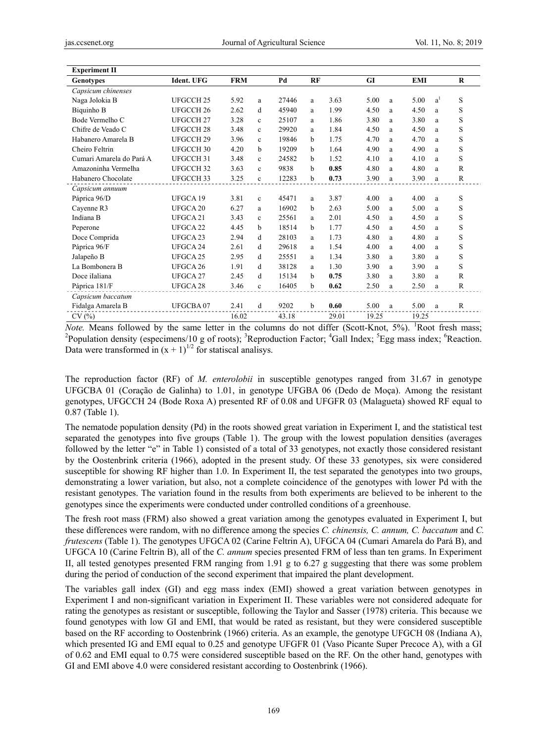| <b>Experiment II</b>     |                      |            |              |       |              |       |           |   |            |       |              |
|--------------------------|----------------------|------------|--------------|-------|--------------|-------|-----------|---|------------|-------|--------------|
| <b>Genotypes</b>         | <b>Ident. UFG</b>    | <b>FRM</b> |              | Pd    | RF           |       | <b>GI</b> |   | <b>EMI</b> |       | $\bf R$      |
| Capsicum chinenses       |                      |            |              |       |              |       |           |   |            |       |              |
| Naga Jolokia B           | UFGCCH <sub>25</sub> | 5.92       | a            | 27446 | a            | 3.63  | 5.00      | a | 5.00       | $a^1$ | S            |
| Biquinho B               | UFGCCH <sub>26</sub> | 2.62       | d            | 45940 | a            | 1.99  | 4.50      | a | 4.50       | a     | S            |
| Bode Vermelho C          | UFGCCH <sub>27</sub> | 3.28       | $\mathbf{c}$ | 25107 | a            | 1.86  | 3.80      | a | 3.80       | a     | S            |
| Chifre de Veado C        | UFGCCH <sub>28</sub> | 3.48       | $\mathbf{c}$ | 29920 | a            | 1.84  | 4.50      | a | 4.50       | a     | S            |
| Habanero Amarela B       | UFGCCH <sub>29</sub> | 3.96       | $\mathbf{c}$ | 19846 | b            | 1.75  | 4.70      | a | 4.70       | a     | S            |
| Cheiro Feltrin           | UFGCCH <sub>30</sub> | 4.20       | b            | 19209 | b            | 1.64  | 4.90      | a | 4.90       | a     | S            |
| Cumari Amarela do Pará A | UFGCCH 31            | 3.48       | c            | 24582 | <sub>b</sub> | 1.52  | 4.10      | a | 4.10       | a     | S            |
| Amazoninha Vermelha      | UFGCCH <sub>32</sub> | 3.63       | $\mathbf c$  | 9838  | b            | 0.85  | 4.80      | a | 4.80       | a     | $\mathbb{R}$ |
| Habanero Chocolate       | UFGCCH <sub>33</sub> | 3.25       | $\mathbf{c}$ | 12283 | b            | 0.73  | 3.90      | a | 3.90       | a     | $\mathbb{R}$ |
| Capsicum annuum          |                      |            |              |       |              |       |           |   |            |       |              |
| Páprica 96/D             | UFGCA 19             | 3.81       | $\mathbf{c}$ | 45471 | a            | 3.87  | 4.00      | a | 4.00       | a     | S            |
| Cayenne R3               | UFGCA 20             | 6.27       | a            | 16902 | b            | 2.63  | 5.00      | a | 5.00       | a     | S            |
| Indiana B                | UFGCA 21             | 3.43       | $\mathbf c$  | 25561 | a            | 2.01  | 4.50      | a | 4.50       | a     | S            |
| Peperone                 | UFGCA 22             | 4.45       | h            | 18514 | b            | 1.77  | 4.50      | a | 4.50       | a     | S            |
| Doce Comprida            | UFGCA 23             | 2.94       | d            | 28103 | a            | 1.73  | 4.80      | a | 4.80       | a     | S            |
| Páprica 96/F             | UFGCA 24             | 2.61       | d            | 29618 | a            | 1.54  | 4.00      | a | 4.00       | a     | S            |
| Jalapeño B               | UFGCA 25             | 2.95       | d            | 25551 | a            | 1.34  | 3.80      | a | 3.80       | a     | S            |
| La Bombonera B           | UFGCA 26             | 1.91       | d            | 38128 | a            | 1.30  | 3.90      | a | 3.90       | a     | S            |
| Doce iIaliana            | UFGCA 27             | 2.45       | d            | 15134 | b            | 0.75  | 3.80      | a | 3.80       | a     | $\mathbb{R}$ |
| Páprica 181/F            | UFGCA <sub>28</sub>  | 3.46       | $\mathbf{c}$ | 16405 | b            | 0.62  | 2.50      | a | 2.50       | a     | R            |
| Capsicum baccatum        |                      |            |              |       |              |       |           |   |            |       |              |
| Fidalga Amarela B        | UFGCBA07             | 2.41       | d            | 9202  | <sub>b</sub> | 0.60  | 5.00      | a | 5.00       | a     | R            |
| CV(%)                    |                      | 16.02      |              | 43.18 |              | 29.01 | 19.25     |   | 19.25      |       |              |

Note. Means followed by the same letter in the columns do not differ (Scott-Knot, 5%). <sup>1</sup>Root fresh mass; <sup>2</sup>Population density (especimens/10 g of roots); <sup>3</sup>Reproduction Factor; <sup>4</sup>Gall Index; <sup>5</sup>Egg mass index; <sup>6</sup>Reaction. Data were transformed in  $(x + 1)^{1/2}$  for statiscal analisys.

The reproduction factor (RF) of M. enterolobii in susceptible genotypes ranged from 31.67 in genotype UFGCBA 01 (Coração de Galinha) to 1.01, in genotype UFGBA 06 (Dedo de Moça). Among the resistant genotypes, UFGCCH 24 (Bode Roxa A) presented RF of 0.08 and UFGFR 03 (Malagueta) showed RF equal to  $0.87$  (Table 1).

The nematode population density (Pd) in the roots showed great variation in Experiment I, and the statistical test separated the genotypes into five groups (Table 1). The group with the lowest population densities (averages followed by the letter "e" in Table 1) consisted of a total of 33 genotypes, not exactly those considered resistant by the Oostenbrink criteria (1966), adopted in the present study. Of these 33 genotypes, six were considered susceptible for showing RF higher than 1.0. In Experiment II, the test separated the genotypes into two groups, demonstrating a lower variation, but also, not a complete coincidence of the genotypes with lower Pd with the resistant genotypes. The variation found in the results from both experiments are believed to be inherent to the genotypes since the experiments were conducted under controlled conditions of a greenhouse.

The fresh root mass (FRM) also showed a great variation among the genotypes evaluated in Experiment I, but these differences were random, with no difference among the species C. chinensis, C. annum, C. baccatum and C. frutescens (Table 1). The genotypes UFGCA 02 (Carine Feltrin A), UFGCA 04 (Cumari Amarela do Pará B), and UFGCA 10 (Carine Feltrin B), all of the C. annum species presented FRM of less than ten grams. In Experiment II, all tested genotypes presented FRM ranging from 1.91 g to 6.27 g suggesting that there was some problem during the period of conduction of the second experiment that impaired the plant development.

The variables gall index (GI) and egg mass index (EMI) showed a great variation between genotypes in Experiment I and non-significant variation in Experiment II. These variables were not considered adequate for rating the genotypes as resistant or susceptible, following the Taylor and Sasser (1978) criteria. This because we found genotypes with low GI and EMI, that would be rated as resistant, but they were considered susceptible based on the RF according to Oostenbrink (1966) criteria. As an example, the genotype UFGCH 08 (Indiana A), which presented IG and EMI equal to 0.25 and genotype UFGFR 01 (Vaso Picante Super Precoce A), with a GI of 0.62 and EMI equal to 0.75 were considered susceptible based on the RF. On the other hand, genotypes with GI and EMI above 4.0 were considered resistant according to Oostenbrink (1966).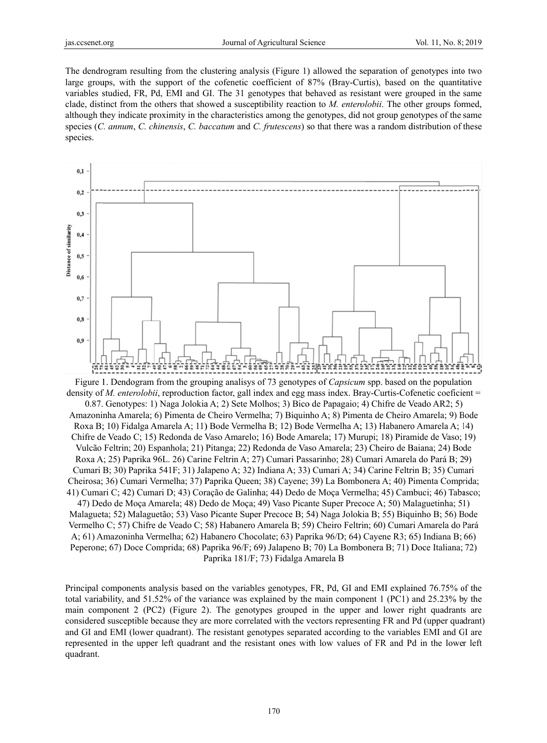The dendrogram resulting from the clustering analysis (Figure 1) allowed the separation of genotypes into two large groups, with the support of the cofenetic coefficient of 87% (Bray-Curtis), based on the quantitative variables studied, FR, Pd, EMI and GI. The 31 genotypes that behaved as resistant were grouped in the same clade, distinct from the others that showed a susceptibility reaction to M. enterolobii. The other groups formed, although they indicate proximity in the characteristics among the genotypes, did not group genotypes of the same species (C. annum, C. chinensis, C. baccatum and C. frutescens) so that there was a random distribution of these species.



Figure 1. Dendogram from the grouping analisys of 73 genotypes of *Capsicum* spp. based on the population density of *M. enterolobii*, reproduction factor, gall index and egg mass index. Bray-Curtis-Cofenetic coeficient = 0.87. Genotypes: 1) Naga Jolokia A; 2) Sete Molhos; 3) Bico de Papagaio; 4) Chifre de Veado AR2; 5) Amazoninha Amarela; 6) Pimenta de Cheiro Vermelha; 7) Biquinho A; 8) Pimenta de Cheiro Amarela; 9) Bode Roxa B; 10) Fidalga Amarela A; 11) Bode Vermelha B; 12) Bode Vermelha A; 13) Habanero Amarela A; 14) Chifre de Veado C; 15) Redonda de Vaso Amarelo; 16) Bode Amarela; 17) Murupi; 18) Piramide de Vaso; 19) Vulcão Feltrin; 20) Espanhola; 21) Pitanga; 22) Redonda de Vaso Amarela; 23) Cheiro de Baiana; 24) Bode Roxa A; 25) Paprika 96L. 26) Carine Feltrin A; 27) Cumari Passarinho; 28) Cumari Amarela do Pará B; 29) Cumari B; 30) Paprika 541F; 31) Jalapeno A; 32) Indiana A; 33) Cumari A; 34) Carine Feltrin B; 35) Cumari Cheirosa; 36) Cumari Vermelha; 37) Paprika Queen; 38) Cayene; 39) La Bombonera A; 40) Pimenta Comprida; 41) Cumari C; 42) Cumari D; 43) Coração de Galinha; 44) Dedo de Moça Vermelha; 45) Cambuci; 46) Tabasco; 47) Dedo de Moça Amarela; 48) Dedo de Moça; 49) Vaso Picante Super Precoce A; 50) Malaguetinha; 51) Malagueta; 52) Malaguetão; 53) Vaso Picante Super Precoce B; 54) Naga Jolokia B; 55) Biquinho B; 56) Bode Vermelho C; 57) Chifre de Veado C; 58) Habanero Amarela B; 59) Cheiro Feltrin; 60) Cumari Amarela do Pará A; 61) Amazoninha Vermelha; 62) Habanero Chocolate; 63) Paprika 96/D; 64) Cayene R3; 65) Indiana B; 66) Peperone; 67) Doce Comprida; 68) Paprika 96/F; 69) Jalapeno B; 70) La Bombonera B; 71) Doce Italiana; 72) Paprika 181/F; 73) Fidalga Amarela B

Principal components analysis based on the variables genotypes, FR, Pd, GI and EMI explained 76.75% of the total variability, and 51.52% of the variance was explained by the main component 1 (PC1) and 25.23% by the main component 2 (PC2) (Figure 2). The genotypes grouped in the upper and lower right quadrants are considered susceptible because they are more correlated with the vectors representing FR and Pd (upper quadrant) and GI and EMI (lower quadrant). The resistant genotypes separated according to the variables EMI and GI are represented in the upper left quadrant and the resistant ones with low values of FR and Pd in the lower left quadrant.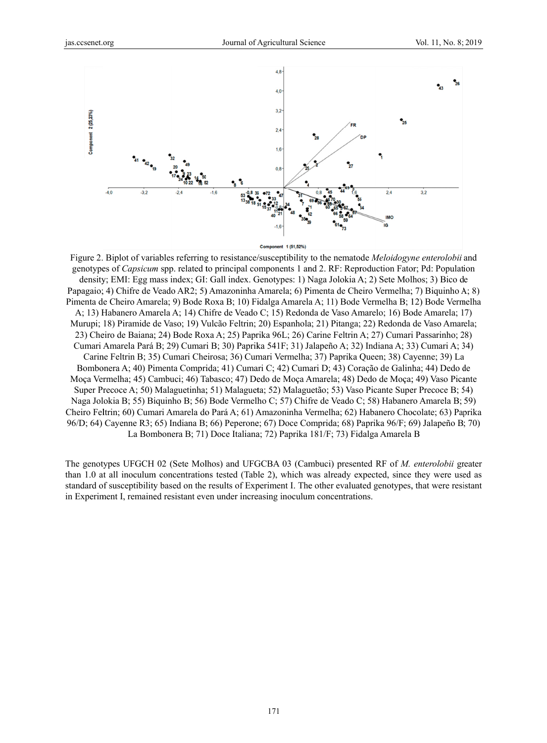

Component 1 (51,52%)

Figure 2. Biplot of variables referring to resistance/susceptibility to the nematode Meloidogyne enterolobii and genotypes of *Capsicum* spp. related to principal components 1 and 2. RF: Reproduction Fator; Pd: Population density; EMI: Egg mass index; GI: Gall index. Genotypes: 1) Naga Jolokia A; 2) Sete Molhos; 3) Bico de Papagaio; 4) Chifre de Veado AR2; 5) Amazoninha Amarela; 6) Pimenta de Cheiro Vermelha; 7) Biquinho A; 8) Pimenta de Cheiro Amarela; 9) Bode Roxa B; 10) Fidalga Amarela A; 11) Bode Vermelha B; 12) Bode Vermelha A; 13) Habanero Amarela A; 14) Chifre de Veado C; 15) Redonda de Vaso Amarelo; 16) Bode Amarela; 17) Murupi; 18) Piramide de Vaso; 19) Vulcão Feltrin; 20) Espanhola; 21) Pitanga; 22) Redonda de Vaso Amarela; 23) Cheiro de Baiana; 24) Bode Roxa A; 25) Paprika 96L; 26) Carine Feltrin A; 27) Cumari Passarinho; 28) Cumari Amarela Pará B; 29) Cumari B; 30) Paprika 541F; 31) Jalapeño A; 32) Indiana A; 33) Cumari A; 34) Carine Feltrin B; 35) Cumari Cheirosa; 36) Cumari Vermelha; 37) Paprika Queen; 38) Cayenne; 39) La Bombonera A; 40) Pimenta Comprida; 41) Cumari C; 42) Cumari D; 43) Coração de Galinha; 44) Dedo de Moça Vermelha; 45) Cambuci; 46) Tabasco; 47) Dedo de Moça Amarela; 48) Dedo de Moça; 49) Vaso Picante Super Precoce A; 50) Malaguetinha; 51) Malagueta; 52) Malaguetão; 53) Vaso Picante Super Precoce B; 54) Naga Jolokia B; 55) Biquinho B; 56) Bode Vermelho C; 57) Chifre de Veado C; 58) Habanero Amarela B; 59) Cheiro Feltrin; 60) Cumari Amarela do Pará A; 61) Amazoninha Vermelha; 62) Habanero Chocolate; 63) Paprika 96/D; 64) Cavenne R3; 65) Indiana B; 66) Peperone; 67) Doce Comprida; 68) Paprika 96/F; 69) Jalapeño B; 70) La Bombonera B; 71) Doce Italiana; 72) Paprika 181/F; 73) Fidalga Amarela B

The genotypes UFGCH 02 (Sete Molhos) and UFGCBA 03 (Cambuci) presented RF of M. enterolobii greater than 1.0 at all inoculum concentrations tested (Table 2), which was already expected, since they were used as standard of susceptibility based on the results of Experiment I. The other evaluated genotypes, that were resistant in Experiment I, remained resistant even under increasing inoculum concentrations.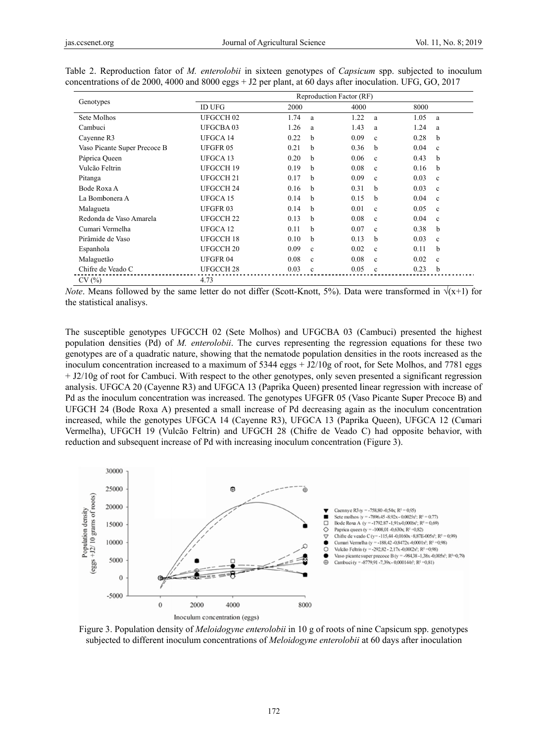| Genotypes                    | Reproduction Factor (RF) |                      |                      |                      |  |  |  |
|------------------------------|--------------------------|----------------------|----------------------|----------------------|--|--|--|
|                              | <b>ID UFG</b>            | 2000                 |                      | 8000                 |  |  |  |
| Sete Molhos                  | UFGCCH <sub>02</sub>     | 1.74<br>a            | 1.22<br>a            | 1.05<br>a            |  |  |  |
| Cambuci                      | <b>UFGCBA03</b>          | 1.26<br>a            | 1.43<br>a            | 1.24<br>a            |  |  |  |
| Cayenne R3                   | UFGCA 14                 | 0.22<br>b            | 0.09<br>$\mathbf{c}$ | 0.28<br>b            |  |  |  |
| Vaso Picante Super Precoce B | <b>UFGFR05</b>           | 0.21<br>h            | 0.36<br>b            | 0.04<br>$\mathbf{c}$ |  |  |  |
| Páprica Queen                | UFGCA 13                 | 0.20<br>h            | 0.06<br>c            | 0.43<br>b            |  |  |  |
| Vulcão Feltrin               | UFGCCH 19                | 0.19<br>b            | 0.08<br>$\mathbf{c}$ | 0.16<br>b            |  |  |  |
| Pitanga                      | UFGCCH <sub>21</sub>     | 0.17<br>b            | 0.09<br>c            | 0.03<br>$\mathbf{c}$ |  |  |  |
| Bode Roxa A                  | UFGCCH <sub>24</sub>     | 0.16<br>b            | 0.31<br>b            | 0.03<br>$\mathbf{c}$ |  |  |  |
| La Bombonera A               | UFGCA 15                 | 0.14<br>b            | 0.15<br>b            | 0.04<br>$\mathbf c$  |  |  |  |
| Malagueta                    | <b>UFGFR03</b>           | 0.14<br>b            | 0.01<br>$\mathbf{c}$ | 0.05<br>$\mathbf c$  |  |  |  |
| Redonda de Vaso Amarela      | UFGCCH <sub>22</sub>     | 0.13<br>b            | 0.08<br>$\mathbf{c}$ | 0.04<br>$\mathbf c$  |  |  |  |
| Cumari Vermelha              | UFGCA 12                 | 0.11<br>b            | 0.07<br>$\mathbf c$  | 0.38<br>b            |  |  |  |
| Pirâmide de Vaso             | UFGCCH 18                | 0.10<br>b            | 0.13<br>b            | 0.03<br>$\mathbf c$  |  |  |  |
| Espanhola                    | UFGCCH <sub>20</sub>     | 0.09<br>$\mathbf{c}$ | 0.02<br>c            | 0.11<br>b            |  |  |  |
| Malaguetão                   | <b>UFGFR04</b>           | 0.08<br>$\mathbf c$  | 0.08<br>$\mathbf c$  | 0.02<br>$\mathbf c$  |  |  |  |
| Chifre de Veado C            | UFGCCH <sub>28</sub>     | 0.03<br>$\mathbf c$  | 0.05<br>$\mathbf{c}$ | 0.23<br>b            |  |  |  |
| CV(%)                        | 4.73                     |                      |                      |                      |  |  |  |

| Table 2. Reproduction fator of <i>M. enterolobii</i> in sixteen genotypes of <i>Capsicum</i> spp. subjected to inoculum |  |  |  |
|-------------------------------------------------------------------------------------------------------------------------|--|--|--|
| concentrations of de 2000, 4000 and 8000 eggs + J2 per plant, at 60 days after inoculation. UFG, GO, 2017               |  |  |  |

*Note*. Means followed by the same letter do not differ (Scott-Knott, 5%). Data were transformed in  $\sqrt{x+1}$  for the statistical analisys.

The susceptible genotypes UFGCCH 02 (Sete Molhos) and UFGCBA 03 (Cambuci) presented the highest population densities (Pd) of M. enterolobii. The curves representing the regression equations for these two genotypes are of a quadratic nature, showing that the nematode population densities in the roots increased as the inoculum concentration increased to a maximum of 5344 eggs + J2/10g of root, for Sete Molhos, and 7781 eggs  $+$  J2/10g of root for Cambuci. With respect to the other genotypes, only seven presented a significant regression analysis. UFGCA 20 (Cayenne R3) and UFGCA 13 (Paprika Queen) presented linear regression with increase of Pd as the inoculum concentration was increased. The genotypes UFGFR 05 (Vaso Picante Super Precoce B) and UFGCH 24 (Bode Roxa A) presented a small increase of Pd decreasing again as the inoculum concentration increased, while the genotypes UFGCA 14 (Cayenne R3), UFGCA 13 (Paprika Queen), UFGCA 12 (Cumari Vermelha), UFGCH 19 (Vulcão Feltrin) and UFGCH 28 (Chifre de Veado C) had opposite behavior, with reduction and subsequent increase of Pd with increasing inoculum concentration (Figure 3).



Figure 3. Population density of *Meloidogyne enterolobii* in 10 g of roots of nine Capsicum spp. genotypes subjected to different inoculum concentrations of *Meloidogyne enterolobii* at 60 days after inoculation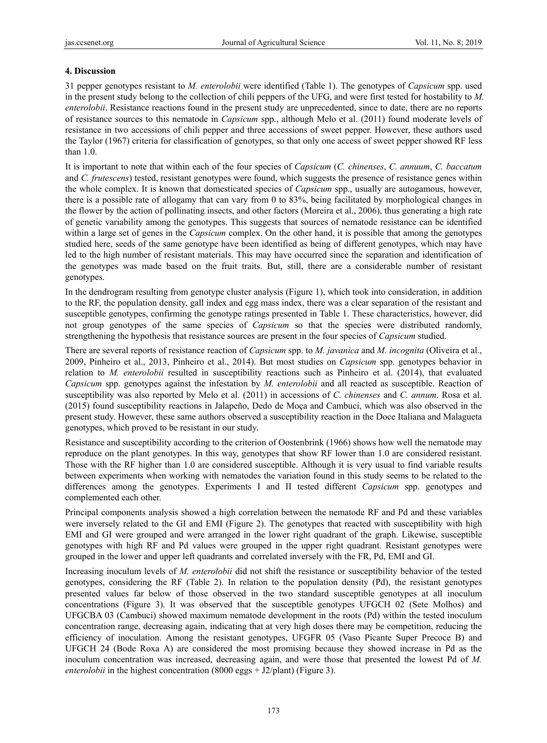# **4. Discussion**

31 pepper genotypes resistant to *M. enterolobii* were identified (Table 1). The genotypes of *Capsicum* spp. used in the present study belong to the collection of chili peppers of the UFG, and were first tested for hostability to *M. enterolobii*. Resistance reactions found in the present study are unprecedented, since to date, there are no reports of resistance sources to this nematode in *Capsicum* spp., although Melo et al. (2011) found moderate levels of resistance in two accessions of chili pepper and three accessions of sweet pepper. However, these authors used the Taylor (1967) criteria for classification of genotypes, so that only one access of sweet pepper showed RF less than 1.0.

It is important to note that within each of the four species of *Capsicum* (*C. chinenses*, *C. annuum*, *C. baccatum*  and *C. frutescens*) tested, resistant genotypes were found, which suggests the presence of resistance genes within the whole complex. It is known that domesticated species of *Capsicum* spp., usually are autogamous, however, there is a possible rate of allogamy that can vary from 0 to 83%, being facilitated by morphological changes in the flower by the action of pollinating insects, and other factors (Moreira et al., 2006), thus generating a high rate of genetic variability among the genotypes. This suggests that sources of nematode resistance can be identified within a large set of genes in the *Capsicum* complex. On the other hand, it is possible that among the genotypes studied here, seeds of the same genotype have been identified as being of different genotypes, which may have led to the high number of resistant materials. This may have occurred since the separation and identification of the genotypes was made based on the fruit traits. But, still, there are a considerable number of resistant genotypes.

In the dendrogram resulting from genotype cluster analysis (Figure 1), which took into consideration, in addition to the RF, the population density, gall index and egg mass index, there was a clear separation of the resistant and susceptible genotypes, confirming the genotype ratings presented in Table 1. These characteristics, however, did not group genotypes of the same species of *Capsicum* so that the species were distributed randomly, strengthening the hypothesis that resistance sources are present in the four species of *Capsicum* studied.

There are several reports of resistance reaction of *Capsicum* spp. to *M. javanica* and *M. incognita* (Oliveira et al., 2009, Pinheiro et al., 2013, Pinheiro et al., 2014). But most studies on *Capsicum* spp. genotypes behavior in relation to *M. enterolobii* resulted in susceptibility reactions such as Pinheiro et al. (2014), that evaluated *Capsicum* spp. genotypes against the infestation by *M. enterolobii* and all reacted as susceptible. Reaction of susceptibility was also reported by Melo et al. (2011) in accessions of *C. chinenses* and *C. annum*. Rosa et al. (2015) found susceptibility reactions in Jalapeño, Dedo de Moça and Cambuci, which was also observed in the present study. However, these same authors observed a susceptibility reaction in the Doce Italiana and Malagueta genotypes, which proved to be resistant in our study.

Resistance and susceptibility according to the criterion of Oostenbrink (1966) shows how well the nematode may reproduce on the plant genotypes. In this way, genotypes that show RF lower than 1.0 are considered resistant. Those with the RF higher than 1.0 are considered susceptible. Although it is very usual to find variable results between experiments when working with nematodes the variation found in this study seems to be related to the differences among the genotypes. Experiments I and II tested different *Capsicum* spp. genotypes and complemented each other.

Principal components analysis showed a high correlation between the nematode RF and Pd and these variables were inversely related to the GI and EMI (Figure 2). The genotypes that reacted with susceptibility with high EMI and GI were grouped and were arranged in the lower right quadrant of the graph. Likewise, susceptible genotypes with high RF and Pd values were grouped in the upper right quadrant. Resistant genotypes were grouped in the lower and upper left quadrants and correlated inversely with the FR, Pd, EMI and GI.

Increasing inoculum levels of *M. enterolobii* did not shift the resistance or susceptibility behavior of the tested genotypes, considering the RF (Table 2). In relation to the population density (Pd), the resistant genotypes presented values far below of those observed in the two standard susceptible genotypes at all inoculum concentrations (Figure 3). It was observed that the susceptible genotypes UFGCH 02 (Sete Molhos) and UFGCBA 03 (Cambuci) showed maximum nematode development in the roots (Pd) within the tested inoculum concentration range, decreasing again, indicating that at very high doses there may be competition, reducing the efficiency of inoculation. Among the resistant genotypes, UFGFR 05 (Vaso Picante Super Precoce B) and UFGCH 24 (Bode Roxa A) are considered the most promising because they showed increase in Pd as the inoculum concentration was increased, decreasing again, and were those that presented the lowest Pd of *M. enterolobii* in the highest concentration (8000 eggs + J2/plant) (Figure 3).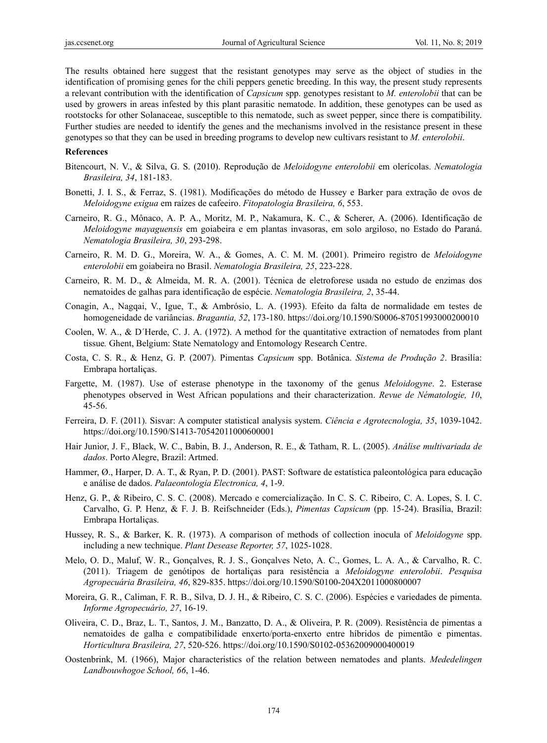The results obtained here suggest that the resistant genotypes may serve as the object of studies in the identification of promising genes for the chili peppers genetic breeding. In this way, the present study represents a relevant contribution with the identification of *Capsicum* spp. genotypes resistant to *M. enterolobii* that can be used by growers in areas infested by this plant parasitic nematode. In addition, these genotypes can be used as rootstocks for other Solanaceae, susceptible to this nematode, such as sweet pepper, since there is compatibility. Further studies are needed to identify the genes and the mechanisms involved in the resistance present in these genotypes so that they can be used in breeding programs to develop new cultivars resistant to *M. enterolobii*.

#### **References**

- Bitencourt, N. V., & Silva, G. S. (2010). Reprodução de *Meloidogyne enterolobii* em olerícolas. *Nematologia Brasileira, 34*, 181-183.
- Bonetti, J. I. S., & Ferraz, S. (1981). Modificações do método de Hussey e Barker para extração de ovos de *Meloidogyne exigua* em raízes de cafeeiro. *Fitopatologia Brasileira, 6*, 553.
- Carneiro, R. G., Mônaco, A. P. A., Moritz, M. P., Nakamura, K. C., & Scherer, A. (2006). Identificação de *Meloidogyne mayaguensis* em goiabeira e em plantas invasoras, em solo argiloso, no Estado do Paraná. *Nematologia Brasileira, 30*, 293-298.
- Carneiro, R. M. D. G., Moreira, W. A., & Gomes, A. C. M. M. (2001). Primeiro registro de *Meloidogyne enterolobii* em goiabeira no Brasil. *Nematologia Brasileira, 25*, 223-228.
- Carneiro, R. M. D., & Almeida, M. R. A. (2001). Técnica de eletroforese usada no estudo de enzimas dos nematoides de galhas para identificação de espécie. *Nematologia Brasileira, 2*, 35-44.
- Conagin, A., Nagqai, V., Igue, T., & Ambrósio, L. A. (1993). Efeito da falta de normalidade em testes de homogeneidade de variâncias. *Bragantia, 52*, 173-180. https://doi.org/10.1590/S0006-87051993000200010
- Coolen, W. A., & D´Herde, C. J. A. (1972). A method for the quantitative extraction of nematodes from plant tissue*.* Ghent, Belgium: State Nematology and Entomology Research Centre.
- Costa, C. S. R., & Henz, G. P. (2007). Pimentas *Capsicum* spp. Botânica. *Sistema de Produção 2*. Brasilía: Embrapa hortaliças.
- Fargette, M. (1987). Use of esterase phenotype in the taxonomy of the genus *Meloidogyne*. 2. Esterase phenotypes observed in West African populations and their characterization. *Revue de Nématologie, 10*, 45-56.
- Ferreira, D. F. (2011). Sisvar: A computer statistical analysis system. *Ciência e Agrotecnologia, 35*, 1039-1042. https://doi.org/10.1590/S1413-70542011000600001
- Hair Junior, J. F., Black, W. C., Babin, B. J., Anderson, R. E., & Tatham, R. L. (2005). *Análise multivariada de dados*. Porto Alegre, Brazil: Artmed.
- Hammer, Ø., Harper, D. A. T., & Ryan, P. D. (2001). PAST: Software de estatística paleontológica para educação e análise de dados. *Palaeontologia Electronica, 4*, 1-9.
- Henz, G. P., & Ribeiro, C. S. C. (2008). Mercado e comercialização. In C. S. C. Ribeiro, C. A. Lopes, S. I. C. Carvalho, G. P. Henz, & F. J. B. Reifschneider (Eds.), *Pimentas Capsicum* (pp. 15-24). Brasília, Brazil: Embrapa Hortaliças.
- Hussey, R. S., & Barker, K. R. (1973). A comparison of methods of collection inocula of *Meloidogyne* spp. including a new technique. *Plant Desease Reporter, 57*, 1025-1028.
- Melo, O. D., Maluf, W. R., Gonçalves, R. J. S., Gonçalves Neto, A. C., Gomes, L. A. A., & Carvalho, R. C. (2011). Triagem de genótipos de hortaliças para resistência a *Meloidogyne enterolobii*. *Pesquisa Agropecuária Brasileira, 46*, 829-835. https://doi.org/10.1590/S0100-204X2011000800007
- Moreira, G. R., Caliman, F. R. B., Silva, D. J. H., & Ribeiro, C. S. C. (2006). Espécies e variedades de pimenta. *Informe Agropecuário, 27*, 16-19.
- Oliveira, C. D., Braz, L. T., Santos, J. M., Banzatto, D. A., & Oliveira, P. R. (2009). Resistência de pimentas a nematoides de galha e compatibilidade enxerto/porta-enxerto entre híbridos de pimentão e pimentas. *Horticultura Brasileira, 27*, 520-526. https://doi.org/10.1590/S0102-05362009000400019
- Oostenbrink, M. (1966), Major characteristics of the relation between nematodes and plants. *Mededelingen Landbouwhogoe School, 66*, 1-46.